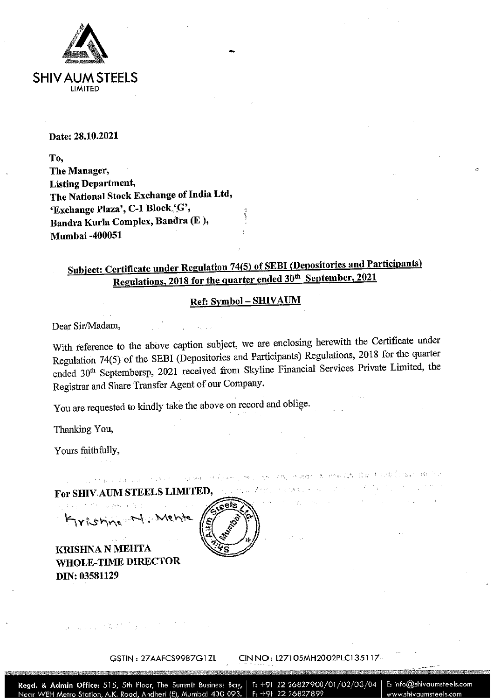

### Date: 28.10.2021

To, The Manager, **Listing Department,** The National Stock Exchange of India Ltd, 'Exchange Plaza', C-1 Block 'G', Bandra Kurla Complex, Bandra (E), **Mumbai -400051** 

## Subject: Certificate under Regulation 74(5) of SEBI (Depositories and Participants) Regulations, 2018 for the quarter ended 30<sup>th</sup> September, 2021

#### Ref: Symbol - SHIVAUM

Dear Sir/Madam,

With reference to the above caption subject, we are enclosing herewith the Certificate under Regulation 74(5) of the SEBI (Depositories and Participants) Regulations, 2018 for the quarter ended 30<sup>th</sup> Septembersp, 2021 received from Skyline Financial Services Private Limited, the Registrar and Share Transfer Agent of our Company.

in a track dia lugar in view in reason into booms, twick in a concreted in into get gave fractification and a

You are requested to kindly take the above on record and oblige.

Thanking You.

Yours faithfully,

For SHIV AUM STEELS LIMITED, and the characteristic and the contraction of the contraction ر وی او ارتفاع زند از ۱۳۶۸ کال برای والی Kyrishing M. Mehte

**KRISHNA N MEHTA WHOLE-TIME DIRECTOR** DIN: 03581129

|   | £. |  |
|---|----|--|
| л |    |  |

 $\mathcal{L}_{\text{G}}$  and the contribution of the contribution of the contribution of the contribution of the contribution of the contribution of the contribution of the contribution of the contribution of the contribution of the

GSTIN: 27AAFCS9987G1ZL

#### CIN NO: L27105MH2002PLC135117

and a strategic

T: +91 22 26827900/01/02/03/04 | E: info@shivaumsteels.com Regd. & Admin Office: 515, 5th Floor, The Summit Business Bay, Near WEH Metro Station, A.K. Road, Andheri (E), Mumbai 400 093.  $F: +91$ www.shivaumsteels.com